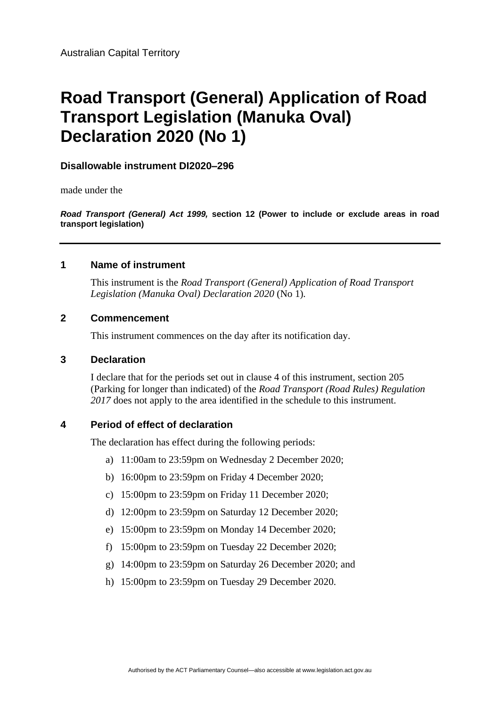# **Road Transport (General) Application of Road Transport Legislation (Manuka Oval) Declaration 2020 (No 1)**

**Disallowable instrument DI2020–296**

made under the

*Road Transport (General) Act 1999,* **section 12 (Power to include or exclude areas in road transport legislation)**

#### **1 Name of instrument**

This instrument is the *Road Transport (General) Application of Road Transport Legislation (Manuka Oval) Declaration 2020* (No 1)*.*

#### **2 Commencement**

This instrument commences on the day after its notification day.

#### **3 Declaration**

I declare that for the periods set out in clause 4 of this instrument, section 205 (Parking for longer than indicated) of the *Road Transport (Road Rules) Regulation 2017* does not apply to the area identified in the schedule to this instrument.

#### **4 Period of effect of declaration**

The declaration has effect during the following periods:

- a) 11:00am to 23:59pm on Wednesday 2 December 2020;
- b) 16:00pm to 23:59pm on Friday 4 December 2020;
- c) 15:00pm to 23:59pm on Friday 11 December 2020;
- d) 12:00pm to 23:59pm on Saturday 12 December 2020;
- e) 15:00pm to 23:59pm on Monday 14 December 2020;
- f) 15:00pm to 23:59pm on Tuesday 22 December 2020;
- g) 14:00pm to 23:59pm on Saturday 26 December 2020; and
- h) 15:00pm to 23:59pm on Tuesday 29 December 2020.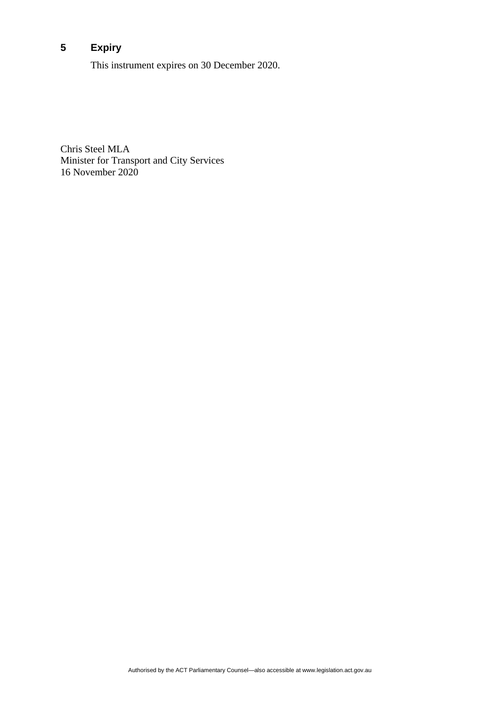## **5 Expiry**

This instrument expires on 30 December 2020.

Chris Steel MLA Minister for Transport and City Services 16 November 2020